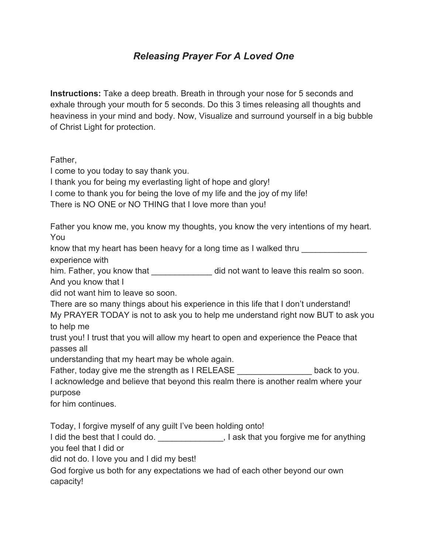## *Releasing Prayer For A Loved One*

**Instructions:** Take a deep breath. Breath in through your nose for 5 seconds and exhale through your mouth for 5 seconds. Do this 3 times releasing all thoughts and heaviness in your mind and body. Now, Visualize and surround yourself in a big bubble of Christ Light for protection.

Father,

I come to you today to say thank you.

I thank you for being my everlasting light of hope and glory!

I come to thank you for being the love of my life and the joy of my life!

There is NO ONE or NO THING that I love more than you!

Father you know me, you know my thoughts, you know the very intentions of my heart. You

know that my heart has been heavy for a long time as I walked thru

experience with

him. Father, you know that did not want to leave this realm so soon.

And you know that I

did not want him to leave so soon.

There are so many things about his experience in this life that I don't understand! My PRAYER TODAY is not to ask you to help me understand right now BUT to ask you

to help me

trust you! I trust that you will allow my heart to open and experience the Peace that passes all

understanding that my heart may be whole again.

Father, today give me the strength as I RELEASE **Example 2** back to you.

I acknowledge and believe that beyond this realm there is another realm where your purpose

for him continues.

Today, I forgive myself of any guilt I've been holding onto!

I did the best that I could do. \_\_\_\_\_\_\_\_\_\_\_\_\_\_\_, I ask that you forgive me for anything you feel that I did or

did not do. I love you and I did my best!

God forgive us both for any expectations we had of each other beyond our own capacity!